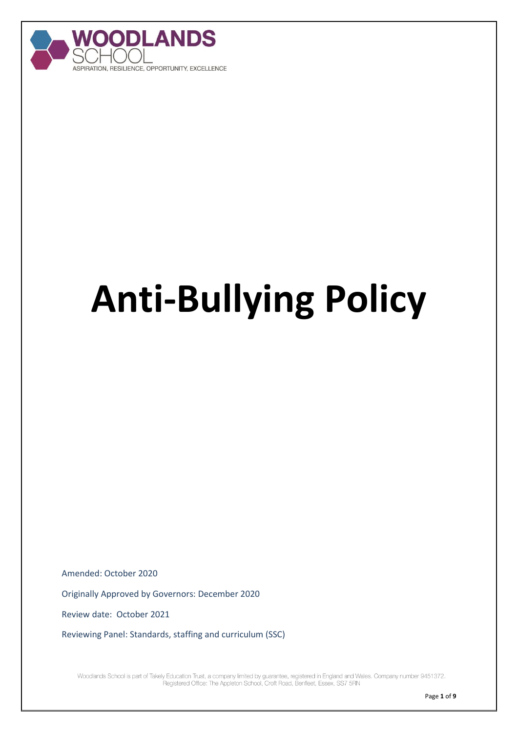

# **Anti-Bullying Policy**

Amended: October 2020

Originally Approved by Governors: December 2020

Review date: October 2021

Reviewing Panel: Standards, staffing and curriculum (SSC)

Woodlands School is part of Takely Education Trust, a company limited by guarantee, registered in England and Wales. Company number 9451372. Registered Office: The Appleton School, Croft Road, Benfleet, Essex, SS7 5RN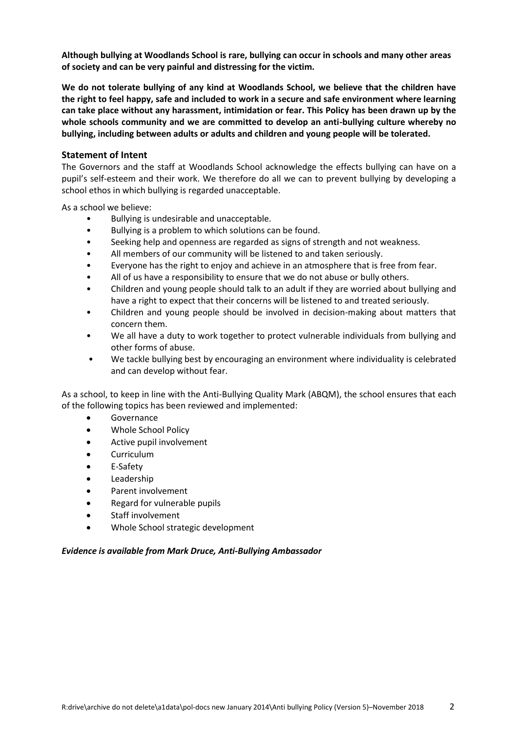**Although bullying at Woodlands School is rare, bullying can occur in schools and many other areas of society and can be very painful and distressing for the victim.**

**We do not tolerate bullying of any kind at Woodlands School, we believe that the children have the right to feel happy, safe and included to work in a secure and safe environment where learning can take place without any harassment, intimidation or fear. This Policy has been drawn up by the whole schools community and we are committed to develop an anti-bullying culture whereby no bullying, including between adults or adults and children and young people will be tolerated.**

#### **Statement of Intent**

The Governors and the staff at Woodlands School acknowledge the effects bullying can have on a pupil's self-esteem and their work. We therefore do all we can to prevent bullying by developing a school ethos in which bullying is regarded unacceptable.

As a school we believe:

- Bullying is undesirable and unacceptable.
- Bullying is a problem to which solutions can be found.
- Seeking help and openness are regarded as signs of strength and not weakness.
- All members of our community will be listened to and taken seriously.
- Everyone has the right to enjoy and achieve in an atmosphere that is free from fear.
- All of us have a responsibility to ensure that we do not abuse or bully others.
- Children and young people should talk to an adult if they are worried about bullying and have a right to expect that their concerns will be listened to and treated seriously.
- Children and young people should be involved in decision-making about matters that concern them.
- We all have a duty to work together to protect vulnerable individuals from bullying and other forms of abuse.
- We tackle bullying best by encouraging an environment where individuality is celebrated and can develop without fear.

As a school, to keep in line with the Anti-Bullying Quality Mark (ABQM), the school ensures that each of the following topics has been reviewed and implemented:

- Governance
- Whole School Policy
- Active pupil involvement
- Curriculum
- E-Safety
- Leadership
- Parent involvement
- Regard for vulnerable pupils
- Staff involvement
- Whole School strategic development

#### *Evidence is available from Mark Druce, Anti-Bullying Ambassador*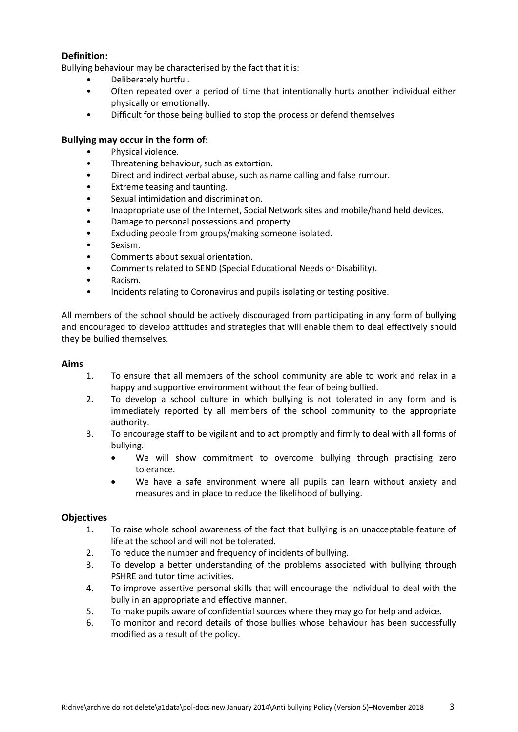## **Definition:**

Bullying behaviour may be characterised by the fact that it is:

- Deliberately hurtful.
- Often repeated over a period of time that intentionally hurts another individual either physically or emotionally.
- Difficult for those being bullied to stop the process or defend themselves

#### **Bullying may occur in the form of:**

- Physical violence.
- Threatening behaviour, such as extortion.
- Direct and indirect verbal abuse, such as name calling and false rumour.
- Extreme teasing and taunting.
- Sexual intimidation and discrimination.
- Inappropriate use of the Internet, Social Network sites and mobile/hand held devices.
- Damage to personal possessions and property.
- Excluding people from groups/making someone isolated.
- Sexism.
- Comments about sexual orientation.
- Comments related to SEND (Special Educational Needs or Disability).
- Racism.
- Incidents relating to Coronavirus and pupils isolating or testing positive.

All members of the school should be actively discouraged from participating in any form of bullying and encouraged to develop attitudes and strategies that will enable them to deal effectively should they be bullied themselves.

#### **Aims**

- 1. To ensure that all members of the school community are able to work and relax in a happy and supportive environment without the fear of being bullied.
- 2. To develop a school culture in which bullying is not tolerated in any form and is immediately reported by all members of the school community to the appropriate authority.
- 3. To encourage staff to be vigilant and to act promptly and firmly to deal with all forms of bullying.
	- We will show commitment to overcome bullying through practising zero tolerance.
	- We have a safe environment where all pupils can learn without anxiety and measures and in place to reduce the likelihood of bullying.

#### **Objectives**

- 1. To raise whole school awareness of the fact that bullying is an unacceptable feature of life at the school and will not be tolerated.
- 2. To reduce the number and frequency of incidents of bullying.
- 3. To develop a better understanding of the problems associated with bullying through PSHRE and tutor time activities.
- 4. To improve assertive personal skills that will encourage the individual to deal with the bully in an appropriate and effective manner.
- 5. To make pupils aware of confidential sources where they may go for help and advice.
- 6. To monitor and record details of those bullies whose behaviour has been successfully modified as a result of the policy.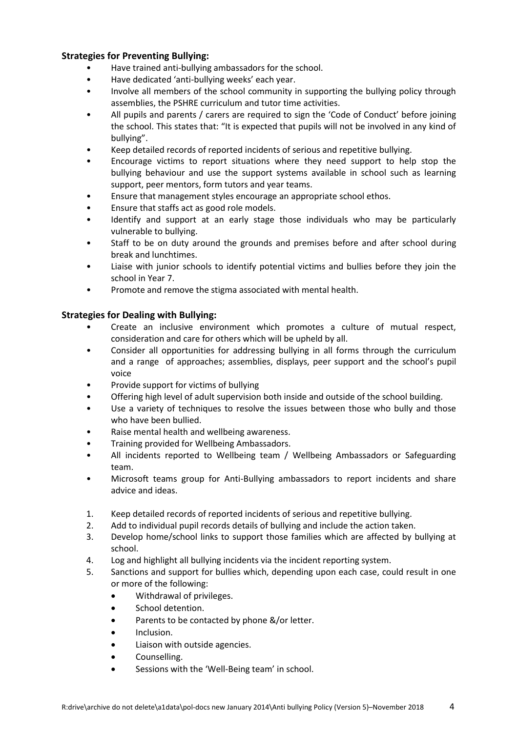## **Strategies for Preventing Bullying:**

- Have trained anti-bullying ambassadors for the school.
- Have dedicated 'anti-bullying weeks' each year.
- Involve all members of the school community in supporting the bullying policy through assemblies, the PSHRE curriculum and tutor time activities.
- All pupils and parents / carers are required to sign the 'Code of Conduct' before joining the school. This states that: "It is expected that pupils will not be involved in any kind of bullying".
- Keep detailed records of reported incidents of serious and repetitive bullying.
- Encourage victims to report situations where they need support to help stop the bullying behaviour and use the support systems available in school such as learning support, peer mentors, form tutors and year teams.
- Ensure that management styles encourage an appropriate school ethos.
- Ensure that staffs act as good role models.
- Identify and support at an early stage those individuals who may be particularly vulnerable to bullying.
- Staff to be on duty around the grounds and premises before and after school during break and lunchtimes.
- Liaise with junior schools to identify potential victims and bullies before they join the school in Year 7.
- Promote and remove the stigma associated with mental health.

## **Strategies for Dealing with Bullying:**

- Create an inclusive environment which promotes a culture of mutual respect, consideration and care for others which will be upheld by all.
- Consider all opportunities for addressing bullying in all forms through the curriculum and a range of approaches; assemblies, displays, peer support and the school's pupil voice
- Provide support for victims of bullying
- Offering high level of adult supervision both inside and outside of the school building.
- Use a variety of techniques to resolve the issues between those who bully and those who have been bullied.
- Raise mental health and wellbeing awareness.
- Training provided for Wellbeing Ambassadors.
- All incidents reported to Wellbeing team / Wellbeing Ambassadors or Safeguarding team.
- Microsoft teams group for Anti-Bullying ambassadors to report incidents and share advice and ideas.
- 1. Keep detailed records of reported incidents of serious and repetitive bullying.
- 2. Add to individual pupil records details of bullying and include the action taken.
- 3. Develop home/school links to support those families which are affected by bullying at school.
- 4. Log and highlight all bullying incidents via the incident reporting system.
- 5. Sanctions and support for bullies which, depending upon each case, could result in one or more of the following:
	- Withdrawal of privileges.
	- School detention.
	- Parents to be contacted by phone &/or letter.
	- Inclusion.
	- Liaison with outside agencies.
	- Counselling.
	- Sessions with the 'Well-Being team' in school.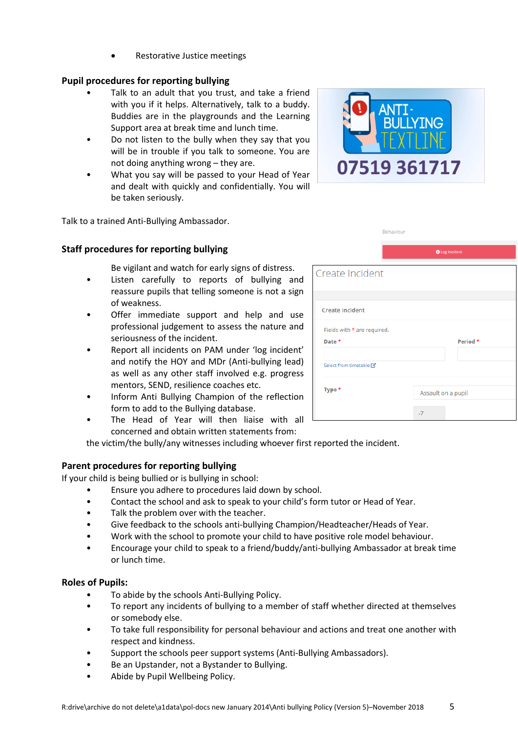Restorative Justice meetings

# **Pupil procedures for reporting bullying**

- Talk to an adult that you trust, and take a friend with you if it helps. Alternatively, talk to a buddy. Buddies are in the playgrounds and the Learning Support area at break time and lunch time.
- Do not listen to the bully when they say that you will be in trouble if you talk to someone. You are not doing anything wrong – they are.
- What you say will be passed to your Head of Year and dealt with quickly and confidentially. You will be taken seriously.

Talk to a trained Anti-Bullying Ambassador.

# **Staff procedures for reporting bullying**

Be vigilant and watch for early signs of distress.

- Listen carefully to reports of bullying and reassure pupils that telling someone is not a sign of weakness.
- Offer immediate support and help and use professional judgement to assess the nature and seriousness of the incident.
- Report all incidents on PAM under 'log incident' and notify the HOY and MDr (Anti-bullying lead) as well as any other staff involved e.g. progress mentors, SEND, resilience coaches etc.
- Inform Anti Bullying Champion of the reflection form to add to the Bullying database.
- The Head of Year will then liaise with all concerned and obtain written statements from:

the victim/the bully/any witnesses including whoever first reported the incident.

# **Parent procedures for reporting bullying**

If your child is being bullied or is bullying in school:

- Ensure you adhere to procedures laid down by school.
- Contact the school and ask to speak to your child's form tutor or Head of Year.
- Talk the problem over with the teacher.
- Give feedback to the schools anti-bullying Champion/Headteacher/Heads of Year.
- Work with the school to promote your child to have positive role model behaviour.
- Encourage your child to speak to a friend/buddy/anti-bullying Ambassador at break time or lunch time.

# **Roles of Pupils:**

- To abide by the schools Anti-Bullying Policy.
- To report any incidents of bullying to a member of staff whether directed at themselves or somebody else.
- To take full responsibility for personal behaviour and actions and treat one another with respect and kindness.
- Support the schools peer support systems (Anti-Bullying Ambassadors).
- Be an Upstander, not a Bystander to Bullying.
- Abide by Pupil Wellbeing Policy.

|                             | Behaviour |                    |                       |  |  |
|-----------------------------|-----------|--------------------|-----------------------|--|--|
|                             |           |                    | <b>O</b> Log Incident |  |  |
| Create Incident             |           |                    |                       |  |  |
|                             |           |                    |                       |  |  |
| <b>Create Incident</b>      |           |                    |                       |  |  |
| Fields with * are required. |           |                    |                       |  |  |
| Date *                      |           |                    | Period *              |  |  |
| Select from timetable Z     |           |                    |                       |  |  |
| Type *                      |           | Assault on a pupil |                       |  |  |
|                             |           | $-7$               |                       |  |  |

07519 361717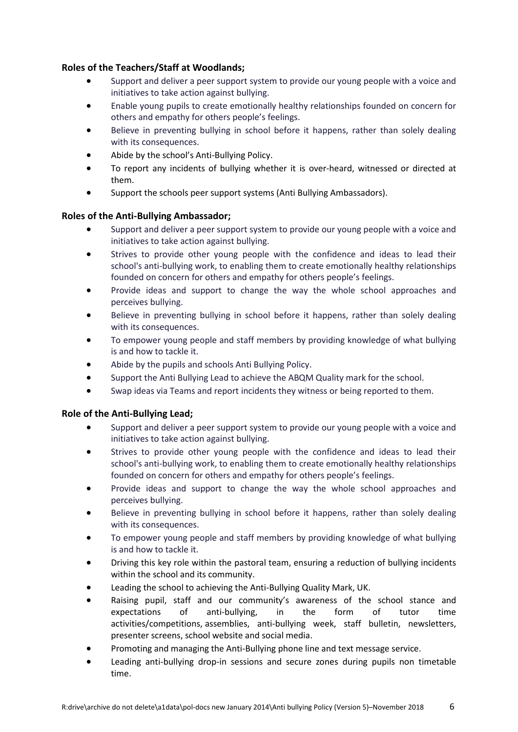# **Roles of the Teachers/Staff at Woodlands;**

- Support and deliver a peer support system to provide our young people with a voice and initiatives to take action against bullying.
- Enable young pupils to create emotionally healthy relationships founded on concern for others and empathy for others people's feelings.
- Believe in preventing bullying in school before it happens, rather than solely dealing with its consequences.
- Abide by the school's Anti-Bullying Policy.
- To report any incidents of bullying whether it is over-heard, witnessed or directed at them.
- Support the schools peer support systems (Anti Bullying Ambassadors).

## **Roles of the Anti-Bullying Ambassador;**

- Support and deliver a peer support system to provide our young people with a voice and initiatives to take action against bullying.
- Strives to provide other young people with the confidence and ideas to lead their school's anti-bullying work, to enabling them to create emotionally healthy relationships founded on concern for others and empathy for others people's feelings.
- Provide ideas and support to change the way the whole school approaches and perceives bullying.
- Believe in preventing bullying in school before it happens, rather than solely dealing with its consequences.
- To empower young people and staff members by providing knowledge of what bullying is and how to tackle it.
- Abide by the pupils and schools Anti Bullying Policy.
- Support the Anti Bullying Lead to achieve the ABQM Quality mark for the school.
- Swap ideas via Teams and report incidents they witness or being reported to them.

## **Role of the Anti-Bullying Lead;**

- Support and deliver a peer support system to provide our young people with a voice and initiatives to take action against bullying.
- Strives to provide other young people with the confidence and ideas to lead their school's anti-bullying work, to enabling them to create emotionally healthy relationships founded on concern for others and empathy for others people's feelings.
- Provide ideas and support to change the way the whole school approaches and perceives bullying.
- Believe in preventing bullying in school before it happens, rather than solely dealing with its consequences.
- To empower young people and staff members by providing knowledge of what bullying is and how to tackle it.
- Driving this key role within the pastoral team, ensuring a reduction of bullying incidents within the school and its community.
- Leading the school to achieving the Anti-Bullying Quality Mark, UK.
- Raising pupil, staff and our community's awareness of the school stance and expectations of anti-bullying, in the form of tutor time activities/competitions, assemblies, anti-bullying week, staff bulletin, newsletters, presenter screens, school website and social media.
- Promoting and managing the Anti-Bullying phone line and text message service.
- Leading anti-bullying drop-in sessions and secure zones during pupils non timetable time.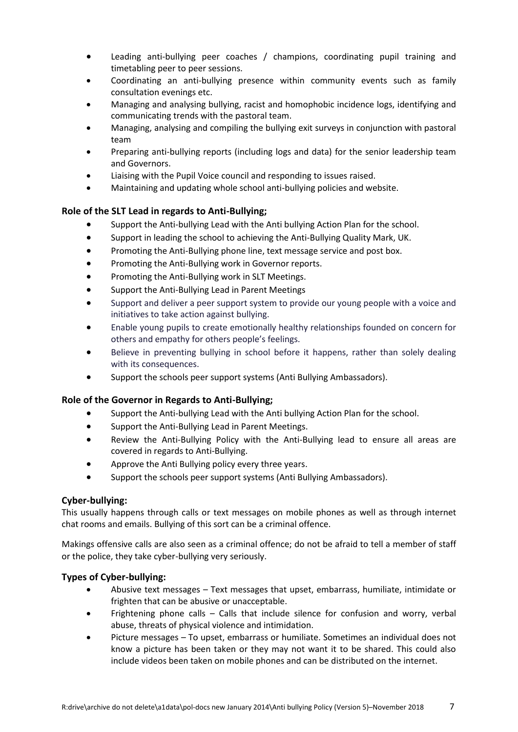- Leading anti-bullying peer coaches / champions, coordinating pupil training and timetabling peer to peer sessions.
- Coordinating an anti-bullying presence within community events such as family consultation evenings etc.
- Managing and analysing bullying, racist and homophobic incidence logs, identifying and communicating trends with the pastoral team.
- Managing, analysing and compiling the bullying exit surveys in conjunction with pastoral team
- Preparing anti-bullying reports (including logs and data) for the senior leadership team and Governors.
- Liaising with the Pupil Voice council and responding to issues raised.
- Maintaining and updating whole school anti-bullying policies and website.

#### **Role of the SLT Lead in regards to Anti-Bullying;**

- Support the Anti-bullying Lead with the Anti bullying Action Plan for the school.
- Support in leading the school to achieving the Anti-Bullying Quality Mark, UK.
- Promoting the Anti-Bullying phone line, text message service and post box.
- Promoting the Anti-Bullying work in Governor reports.
- Promoting the Anti-Bullying work in SLT Meetings.
- Support the Anti-Bullying Lead in Parent Meetings
- Support and deliver a peer support system to provide our young people with a voice and initiatives to take action against bullying.
- Enable young pupils to create emotionally healthy relationships founded on concern for others and empathy for others people's feelings.
- Believe in preventing bullying in school before it happens, rather than solely dealing with its consequences.
- Support the schools peer support systems (Anti Bullying Ambassadors).

#### **Role of the Governor in Regards to Anti-Bullying;**

- Support the Anti-bullying Lead with the Anti bullying Action Plan for the school.
- Support the Anti-Bullying Lead in Parent Meetings.
- Review the Anti-Bullying Policy with the Anti-Bullying lead to ensure all areas are covered in regards to Anti-Bullying.
- Approve the Anti Bullying policy every three years.
- Support the schools peer support systems (Anti Bullying Ambassadors).

#### **Cyber-bullying:**

This usually happens through calls or text messages on mobile phones as well as through internet chat rooms and emails. Bullying of this sort can be a criminal offence.

Makings offensive calls are also seen as a criminal offence; do not be afraid to tell a member of staff or the police, they take cyber-bullying very seriously.

#### **Types of Cyber-bullying:**

- Abusive text messages Text messages that upset, embarrass, humiliate, intimidate or frighten that can be abusive or unacceptable.
- Frightening phone calls Calls that include silence for confusion and worry, verbal abuse, threats of physical violence and intimidation.
- Picture messages To upset, embarrass or humiliate. Sometimes an individual does not know a picture has been taken or they may not want it to be shared. This could also include videos been taken on mobile phones and can be distributed on the internet.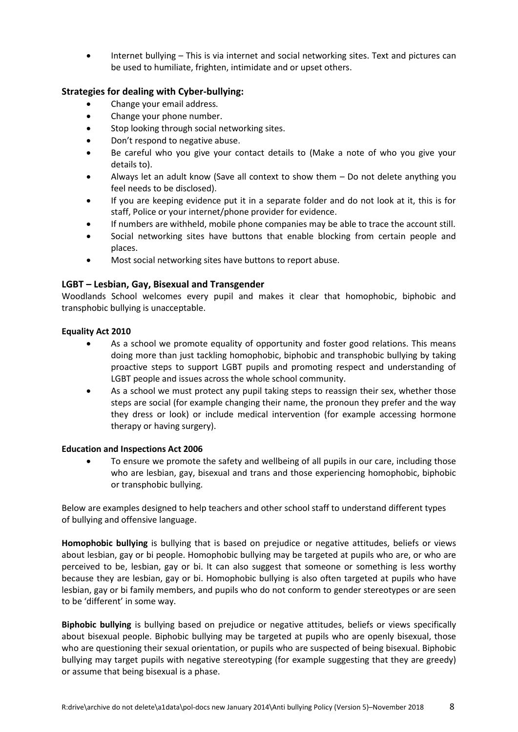Internet bullying – This is via internet and social networking sites. Text and pictures can be used to humiliate, frighten, intimidate and or upset others.

# **Strategies for dealing with Cyber-bullying:**

- Change your email address.
- Change your phone number.
- Stop looking through social networking sites.
- Don't respond to negative abuse.
- Be careful who you give your contact details to (Make a note of who you give your details to).
- Always let an adult know (Save all context to show them Do not delete anything you feel needs to be disclosed).
- If you are keeping evidence put it in a separate folder and do not look at it, this is for staff, Police or your internet/phone provider for evidence.
- If numbers are withheld, mobile phone companies may be able to trace the account still.
- Social networking sites have buttons that enable blocking from certain people and places.
- Most social networking sites have buttons to report abuse.

## **LGBT – Lesbian, Gay, Bisexual and Transgender**

Woodlands School welcomes every pupil and makes it clear that homophobic, biphobic and transphobic bullying is unacceptable.

#### **Equality Act 2010**

- As a school we promote equality of opportunity and foster good relations. This means doing more than just tackling homophobic, biphobic and transphobic bullying by taking proactive steps to support LGBT pupils and promoting respect and understanding of LGBT people and issues across the whole school community.
- As a school we must protect any pupil taking steps to reassign their sex, whether those steps are social (for example changing their name, the pronoun they prefer and the way they dress or look) or include medical intervention (for example accessing hormone therapy or having surgery).

#### **Education and Inspections Act 2006**

 To ensure we promote the safety and wellbeing of all pupils in our care, including those who are lesbian, gay, bisexual and trans and those experiencing homophobic, biphobic or transphobic bullying.

Below are examples designed to help teachers and other school staff to understand different types of bullying and offensive language.

**Homophobic bullying** is bullying that is based on prejudice or negative attitudes, beliefs or views about lesbian, gay or bi people. Homophobic bullying may be targeted at pupils who are, or who are perceived to be, lesbian, gay or bi. It can also suggest that someone or something is less worthy because they are lesbian, gay or bi. Homophobic bullying is also often targeted at pupils who have lesbian, gay or bi family members, and pupils who do not conform to gender stereotypes or are seen to be 'different' in some way.

**Biphobic bullying** is bullying based on prejudice or negative attitudes, beliefs or views specifically about bisexual people. Biphobic bullying may be targeted at pupils who are openly bisexual, those who are questioning their sexual orientation, or pupils who are suspected of being bisexual. Biphobic bullying may target pupils with negative stereotyping (for example suggesting that they are greedy) or assume that being bisexual is a phase.